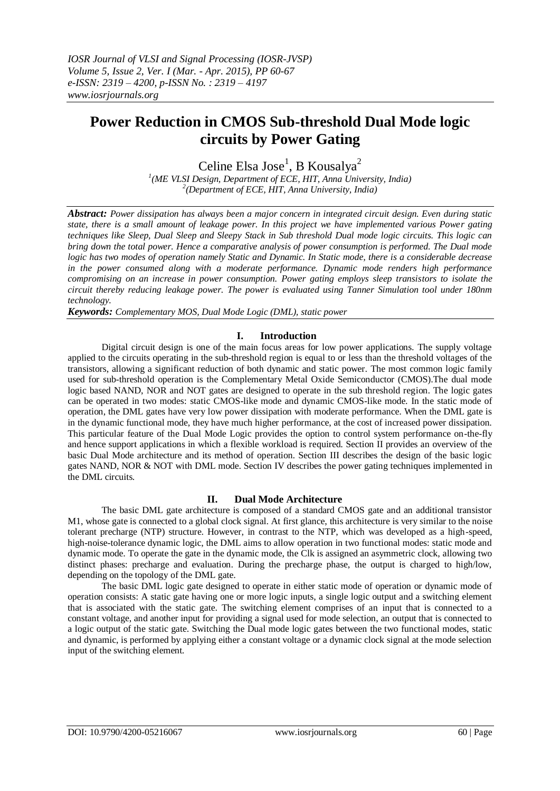# **Power Reduction in CMOS Sub-threshold Dual Mode logic circuits by Power Gating**

Celine Elsa Jose<sup>1</sup>, B Kousalya<sup>2</sup>

*1 (ME VLSI Design, Department of ECE, HIT, Anna University, India) 2 (Department of ECE, HIT, Anna University, India)*

*Abstract: Power dissipation has always been a major concern in integrated circuit design. Even during static state, there is a small amount of leakage power. In this project we have implemented various Power gating techniques like Sleep, Dual Sleep and Sleepy Stack in Sub threshold Dual mode logic circuits. This logic can bring down the total power. Hence a comparative analysis of power consumption is performed. The Dual mode logic has two modes of operation namely Static and Dynamic. In Static mode, there is a considerable decrease in the power consumed along with a moderate performance. Dynamic mode renders high performance compromising on an increase in power consumption. Power gating employs sleep transistors to isolate the circuit thereby reducing leakage power. The power is evaluated using Tanner Simulation tool under 180nm technology.*

*Keywords: Complementary MOS, Dual Mode Logic (DML), static power*

#### **I. Introduction**

Digital circuit design is one of the main focus areas for low power applications. The supply voltage applied to the circuits operating in the sub-threshold region is equal to or less than the threshold voltages of the transistors, allowing a significant reduction of both dynamic and static power. The most common logic family used for sub-threshold operation is the Complementary Metal Oxide Semiconductor (CMOS).The dual mode logic based NAND, NOR and NOT gates are designed to operate in the sub threshold region. The logic gates can be operated in two modes: static CMOS-like mode and dynamic CMOS-like mode. In the static mode of operation, the DML gates have very low power dissipation with moderate performance. When the DML gate is in the dynamic functional mode, they have much higher performance, at the cost of increased power dissipation. This particular feature of the Dual Mode Logic provides the option to control system performance on-the-fly and hence support applications in which a flexible workload is required. Section II provides an overview of the basic Dual Mode architecture and its method of operation. Section III describes the design of the basic logic gates NAND, NOR & NOT with DML mode. Section IV describes the power gating techniques implemented in the DML circuits.

# **II. Dual Mode Architecture**

The basic DML gate architecture is composed of a standard CMOS gate and an additional transistor M1, whose gate is connected to a global clock signal. At first glance, this architecture is very similar to the noise tolerant precharge (NTP) structure. However, in contrast to the NTP, which was developed as a high-speed, high-noise-tolerance dynamic logic, the DML aims to allow operation in two functional modes: static mode and dynamic mode. To operate the gate in the dynamic mode, the Clk is assigned an asymmetric clock, allowing two distinct phases: precharge and evaluation. During the precharge phase, the output is charged to high/low, depending on the topology of the DML gate.

The basic DML logic gate designed to operate in either static mode of operation or dynamic mode of operation consists: A static gate having one or more logic inputs, a single logic output and a switching element that is associated with the static gate. The switching element comprises of an input that is connected to a constant voltage, and another input for providing a signal used for mode selection, an output that is connected to a logic output of the static gate. Switching the Dual mode logic gates between the two functional modes, static and dynamic, is performed by applying either a constant voltage or a dynamic clock signal at the mode selection input of the switching element.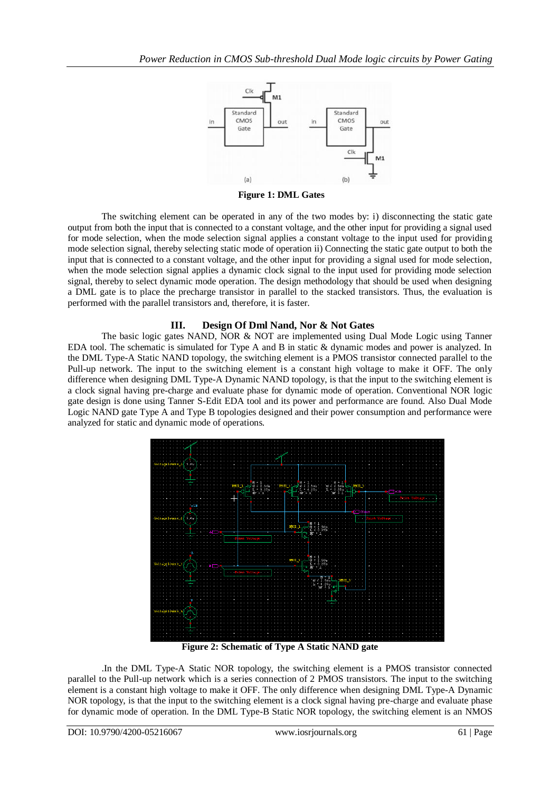

**Figure 1: DML Gates**

The switching element can be operated in any of the two modes by: i) disconnecting the static gate output from both the input that is connected to a constant voltage, and the other input for providing a signal used for mode selection, when the mode selection signal applies a constant voltage to the input used for providing mode selection signal, thereby selecting static mode of operation ii) Connecting the static gate output to both the input that is connected to a constant voltage, and the other input for providing a signal used for mode selection, when the mode selection signal applies a dynamic clock signal to the input used for providing mode selection signal, thereby to select dynamic mode operation. The design methodology that should be used when designing a DML gate is to place the precharge transistor in parallel to the stacked transistors. Thus, the evaluation is performed with the parallel transistors and, therefore, it is faster.

## **III. Design Of Dml Nand, Nor & Not Gates**

The basic logic gates NAND, NOR & NOT are implemented using Dual Mode Logic using Tanner EDA tool. The schematic is simulated for Type A and B in static & dynamic modes and power is analyzed. In the DML Type-A Static NAND topology, the switching element is a PMOS transistor connected parallel to the Pull-up network. The input to the switching element is a constant high voltage to make it OFF. The only difference when designing DML Type-A Dynamic NAND topology, is that the input to the switching element is a clock signal having pre-charge and evaluate phase for dynamic mode of operation. Conventional NOR logic gate design is done using Tanner S-Edit EDA tool and its power and performance are found. Also Dual Mode Logic NAND gate Type A and Type B topologies designed and their power consumption and performance were analyzed for static and dynamic mode of operations.



**Figure 2: Schematic of Type A Static NAND gate**

.In the DML Type-A Static NOR topology, the switching element is a PMOS transistor connected parallel to the Pull-up network which is a series connection of 2 PMOS transistors. The input to the switching element is a constant high voltage to make it OFF. The only difference when designing DML Type-A Dynamic NOR topology, is that the input to the switching element is a clock signal having pre-charge and evaluate phase for dynamic mode of operation. In the DML Type-B Static NOR topology, the switching element is an NMOS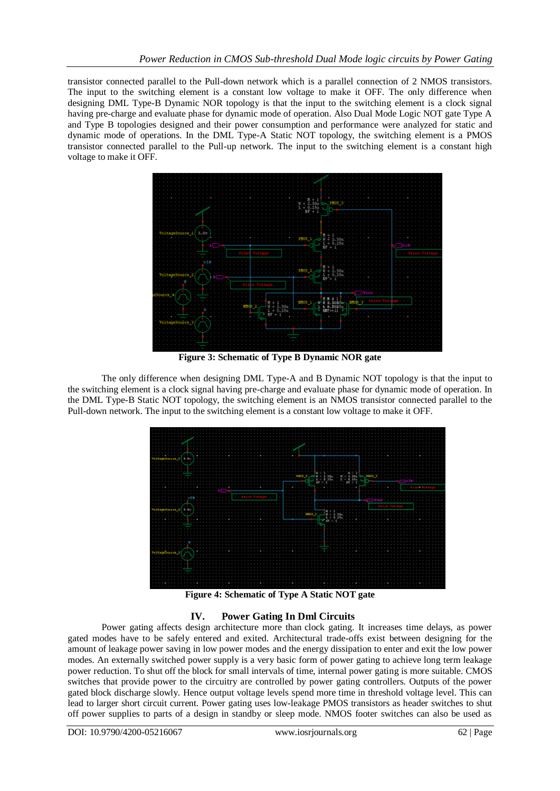transistor connected parallel to the Pull-down network which is a parallel connection of 2 NMOS transistors. The input to the switching element is a constant low voltage to make it OFF. The only difference when designing DML Type-B Dynamic NOR topology is that the input to the switching element is a clock signal having pre-charge and evaluate phase for dynamic mode of operation. Also Dual Mode Logic NOT gate Type A and Type B topologies designed and their power consumption and performance were analyzed for static and dynamic mode of operations. In the DML Type-A Static NOT topology, the switching element is a PMOS transistor connected parallel to the Pull-up network. The input to the switching element is a constant high voltage to make it OFF.



**Figure 3: Schematic of Type B Dynamic NOR gate**

The only difference when designing DML Type-A and B Dynamic NOT topology is that the input to the switching element is a clock signal having pre-charge and evaluate phase for dynamic mode of operation. In the DML Type-B Static NOT topology, the switching element is an NMOS transistor connected parallel to the Pull-down network. The input to the switching element is a constant low voltage to make it OFF.



**Figure 4: Schematic of Type A Static NOT gate**

## **IV. Power Gating In Dml Circuits**

Power gating affects design architecture more than clock gating. It increases time delays, as power gated modes have to be safely entered and exited. Architectural trade-offs exist between designing for the amount of leakage power saving in low power modes and the energy dissipation to enter and exit the low power modes. An externally switched power supply is a very basic form of power gating to achieve long term leakage power reduction. To shut off the block for small intervals of time, internal power gating is more suitable. CMOS switches that provide power to the circuitry are controlled by power gating controllers. Outputs of the power gated block discharge slowly. Hence output voltage levels spend more time in threshold voltage level. This can lead to larger short circuit current. Power gating uses low-leakage PMOS transistors as header switches to shut off power supplies to parts of a design in standby or sleep mode. NMOS footer switches can also be used as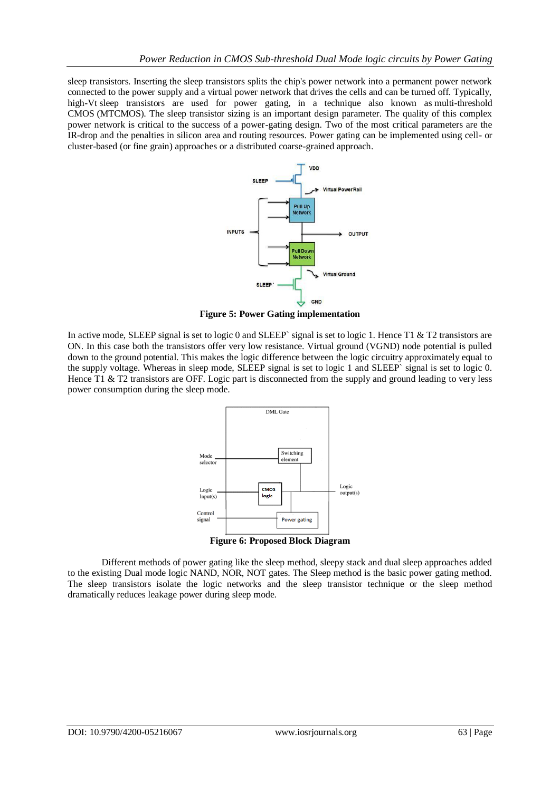sleep transistors. Inserting the sleep transistors splits the chip's power network into a permanent power network connected to the power supply and a virtual power network that drives the cells and can be turned off. Typically, high-Vt sleep transistors are used for power gating, in a technique also known as multi-threshold CMOS (MTCMOS). The sleep transistor sizing is an important design parameter. The quality of this complex power network is critical to the success of a power-gating design. Two of the most critical parameters are the IR-drop and the penalties in silicon area and routing resources. Power gating can be implemented using cell- or cluster-based (or fine grain) approaches or a distributed coarse-grained approach.



**Figure 5: Power Gating implementation**

In active mode, SLEEP signal is set to logic 0 and SLEEP` signal is set to logic 1. Hence T1  $\&$  T2 transistors are ON. In this case both the transistors offer very low resistance. Virtual ground (VGND) node potential is pulled down to the ground potential. This makes the logic difference between the logic circuitry approximately equal to the supply voltage. Whereas in sleep mode, SLEEP signal is set to logic 1 and SLEEP` signal is set to logic 0. Hence T1 & T2 transistors are OFF. Logic part is disconnected from the supply and ground leading to very less power consumption during the sleep mode.



**Figure 6: Proposed Block Diagram**

Different methods of power gating like the sleep method, sleepy stack and dual sleep approaches added to the existing Dual mode logic NAND, NOR, NOT gates. The Sleep method is the basic power gating method. The sleep transistors isolate the logic networks and the sleep transistor technique or the sleep method dramatically reduces leakage power during sleep mode.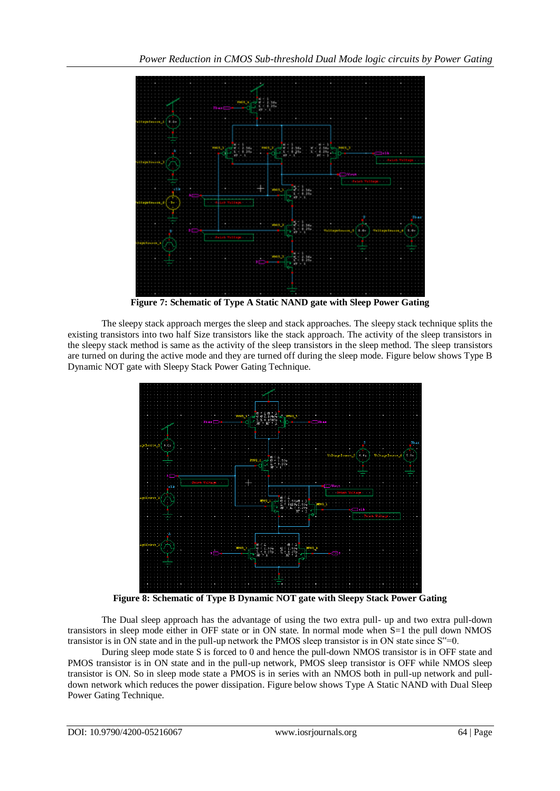

**Figure 7: Schematic of Type A Static NAND gate with Sleep Power Gating**

The sleepy stack approach merges the sleep and stack approaches. The sleepy stack technique splits the existing transistors into two half Size transistors like the stack approach. The activity of the sleep transistors in the sleepy stack method is same as the activity of the sleep transistors in the sleep method. The sleep transistors are turned on during the active mode and they are turned off during the sleep mode. Figure below shows Type B Dynamic NOT gate with Sleepy Stack Power Gating Technique.



**Figure 8: Schematic of Type B Dynamic NOT gate with Sleepy Stack Power Gating** 

The Dual sleep approach has the advantage of using the two extra pull- up and two extra pull-down transistors in sleep mode either in OFF state or in ON state. In normal mode when S=1 the pull down NMOS transistor is in ON state and in the pull-up network the PMOS sleep transistor is in ON state since S"=0.

During sleep mode state S is forced to 0 and hence the pull-down NMOS transistor is in OFF state and PMOS transistor is in ON state and in the pull-up network, PMOS sleep transistor is OFF while NMOS sleep transistor is ON. So in sleep mode state a PMOS is in series with an NMOS both in pull-up network and pulldown network which reduces the power dissipation. Figure below shows Type A Static NAND with Dual Sleep Power Gating Technique.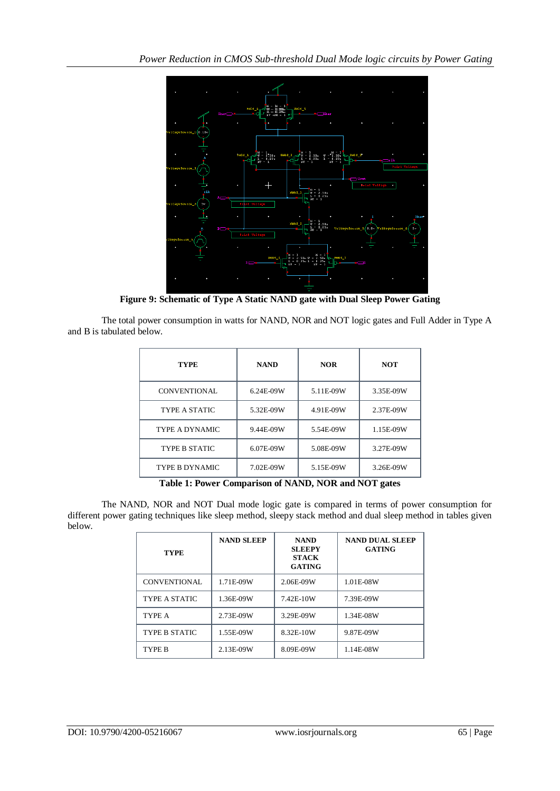

**Figure 9: Schematic of Type A Static NAND gate with Dual Sleep Power Gating** 

The total power consumption in watts for NAND, NOR and NOT logic gates and Full Adder in Type A and B is tabulated below.

| <b>TYPE</b>           | <b>NAND</b><br><b>NOR</b> |           | <b>NOT</b> |  |
|-----------------------|---------------------------|-----------|------------|--|
| CONVENTIONAL          | 6.24E-09W                 | 5.11E-09W | 3.35E-09W  |  |
| TYPE A STATIC         | 5.32E-09W                 | 4.91E-09W | 2.37E-09W  |  |
| <b>TYPE A DYNAMIC</b> | 9.44E-09W                 | 5.54E-09W | 1.15E-09W  |  |
| <b>TYPE B STATIC</b>  | 6.07E-09W                 | 5.08E-09W | 3.27E-09W  |  |
| <b>TYPE B DYNAMIC</b> | 7.02E-09W                 | 5.15E-09W | 3.26E-09W  |  |

**Table 1: Power Comparison of NAND, NOR and NOT gates**

The NAND, NOR and NOT Dual mode logic gate is compared in terms of power consumption for different power gating techniques like sleep method, sleepy stack method and dual sleep method in tables given below.

| <b>TYPE</b>          | <b>NAND SLEEP</b> | <b>NAND</b><br><b>SLEEPY</b><br><b>STACK</b><br><b>GATING</b> | <b>NAND DUAL SLEEP</b><br><b>GATING</b> |
|----------------------|-------------------|---------------------------------------------------------------|-----------------------------------------|
| <b>CONVENTIONAL</b>  | 1.71E-09W         | 2.06E-09W                                                     | 1.01E-08W                               |
| TYPE A STATIC        | 1.36E-09W         | 7.42E-10W                                                     | 7.39E-09W                               |
| TYPE A               | 2.73E-09W         | 3.29E-09W                                                     | 1.34E-08W                               |
| <b>TYPE B STATIC</b> | 1.55E-09W         | 8.32E-10W                                                     | 9.87E-09W                               |
| TYPE B               | 2.13E-09W         | 8.09E-09W                                                     | 1.14E-08W                               |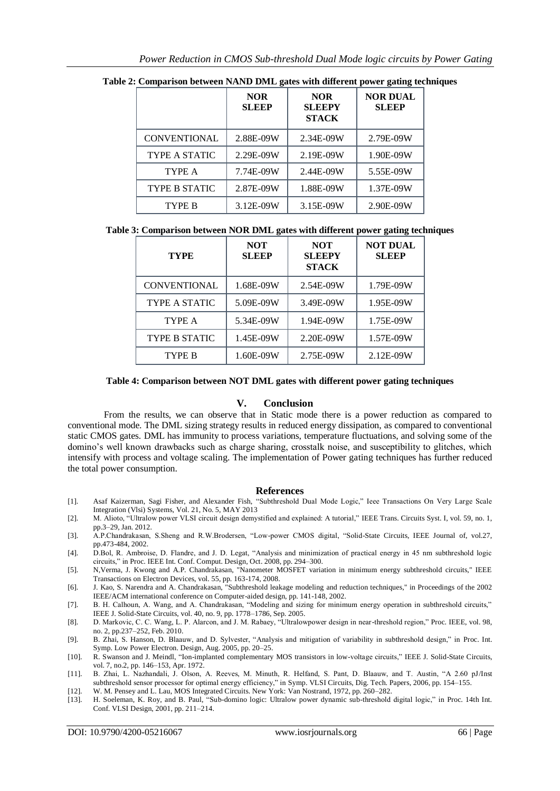|                      | <b>NOR</b><br><b>SLEEP</b> | <b>NOR</b><br><b>SLEEPY</b><br><b>STACK</b> | <b>NOR DUAL</b><br><b>SLEEP</b> |  |  |  |
|----------------------|----------------------------|---------------------------------------------|---------------------------------|--|--|--|
| <b>CONVENTIONAL</b>  | 2.88E-09W                  | 2.34E-09W                                   | 2.79E-09W                       |  |  |  |
| <b>TYPE A STATIC</b> | 2.29E-09W                  | 2.19E-09W                                   | 1.90E-09W                       |  |  |  |
| TYPE A               | 7.74E-09W                  | 2.44E-09W                                   | 5.55E-09W                       |  |  |  |
| <b>TYPE B STATIC</b> | 2.87E-09W                  | 1.88E-09W                                   | 1.37E-09W                       |  |  |  |
| <b>TYPE B</b>        | 3.12E-09W                  | 3.15E-09W                                   | 2.90E-09W                       |  |  |  |

**Table 2: Comparison between NAND DML gates with different power gating techniques**

| Table 3: Comparison between NOR DML gates with different power gating techniques |  |  |  |  |
|----------------------------------------------------------------------------------|--|--|--|--|
|                                                                                  |  |  |  |  |

DYNAMIC

| <b>NOT</b><br><b>SLEEP</b> | <b>NOT</b><br><b>SLEEPY</b><br><b>STACK</b> | <b>NOT DUAL</b><br><b>SLEEP</b> |
|----------------------------|---------------------------------------------|---------------------------------|
| 1.68E-09W                  | 2.54E-09W                                   | 1.79E-09W                       |
| 5.09E-09W                  | 3.49E-09W                                   | 1.95E-09W                       |
| 5.34E-09W                  | 1.94E-09W                                   | 1.75E-09W                       |
| 1.45E-09W                  | 2.20E-09W                                   | 1.57E-09W                       |
| 1.60E-09W                  | 2.75E-09W                                   | 2.12E-09W                       |
|                            |                                             |                                 |

**Table 4: Comparison between NOT DML gates with different power gating techniques**

## **V. Conclusion**

From the results, we can observe that in Static mode there is a power reduction as compared to conventional mode. The DML sizing strategy results in reduced energy dissipation, as compared to conventional static CMOS gates. DML has immunity to process variations, temperature fluctuations, and solving some of the domino's well known drawbacks such as charge sharing, crosstalk noise, and susceptibility to glitches, which intensify with process and voltage scaling. The implementation of Power gating techniques has further reduced the total power consumption.

#### **References**

- [1]. Asaf Kaizerman, Sagi Fisher, and Alexander Fish, "Subthreshold Dual Mode Logic," Ieee Transactions On Very Large Scale Integration (Vlsi) Systems, Vol. 21, No. 5, MAY 2013
- [2]. M. Alioto, "Ultralow power VLSI circuit design demystified and explained: A tutorial," IEEE Trans. Circuits Syst. I, vol. 59, no. 1, pp.3–29, Jan. 2012.
- [3]. A.P.Chandrakasan, S.Sheng and R.W.Brodersen, "Low-power CMOS digital, "Solid-State Circuits, IEEE Journal of, vol.27, pp.473-484, 2002.
- [4]. D.Bol, R. Ambroise, D. Flandre, and J. D. Legat, "Analysis and minimization of practical energy in 45 nm subthreshold logic circuits," in Proc. IEEE Int. Conf. Comput. Design, Oct. 2008, pp. 294–300.
- [5]. N,Verma, J. Kwong and A.P. Chandrakasan, "Nanometer MOSFET variation in minimum energy subthreshold circuits," IEEE Transactions on Electron Devices, vol. 55, pp. 163-174, 2008.
- [6]. J. Kao, S. Narendra and A. Chandrakasan, "Subthreshold leakage modeling and reduction techniques," in Proceedings of the 2002 IEEE/ACM international conference on Computer-aided design, pp. 141-148, 2002.
- [7]. B. H. Calhoun, A. Wang, and A. Chandrakasan, "Modeling and sizing for minimum energy operation in subthreshold circuits," IEEE J. Solid-State Circuits, vol. 40, no. 9, pp. 1778–1786, Sep. 2005.
- [8]. D. Markovic, C. C. Wang, L. P. Alarcon, and J. M. Rabaey, "Ultralowpower design in near-threshold region," Proc. IEEE, vol. 98, no. 2, pp.237–252, Feb. 2010.
- [9]. B. Zhai, S. Hanson, D. Blaauw, and D. Sylvester, "Analysis and mitigation of variability in subthreshold design," in Proc. Int. Symp. Low Power Electron. Design, Aug. 2005, pp. 20–25.
- [10]. R. Swanson and J. Meindl, "Ion-implanted complementary MOS transistors in low-voltage circuits," IEEE J. Solid-State Circuits, vol. 7, no.2, pp. 146–153, Apr. 1972.
- [11]. B. Zhai, L. Nazhandali, J. Olson, A. Reeves, M. Minuth, R. Helfand, S. Pant, D. Blaauw, and T. Austin, "A 2.60 pJ/Inst subthreshold sensor processor for optimal energy efficiency," in Symp. VLSI Circuits, Dig. Tech. Papers, 2006, pp. 154–155.
- [12]. W. M. Pensey and L. Lau, MOS Integrated Circuits. New York: Van Nostrand, 1972, pp. 260–282.
- [13]. H. Soeleman, K. Roy, and B. Paul, "Sub-domino logic: Ultralow power dynamic sub-threshold digital logic," in Proc. 14th Int. Conf. VLSI Design, 2001, pp. 211–214.